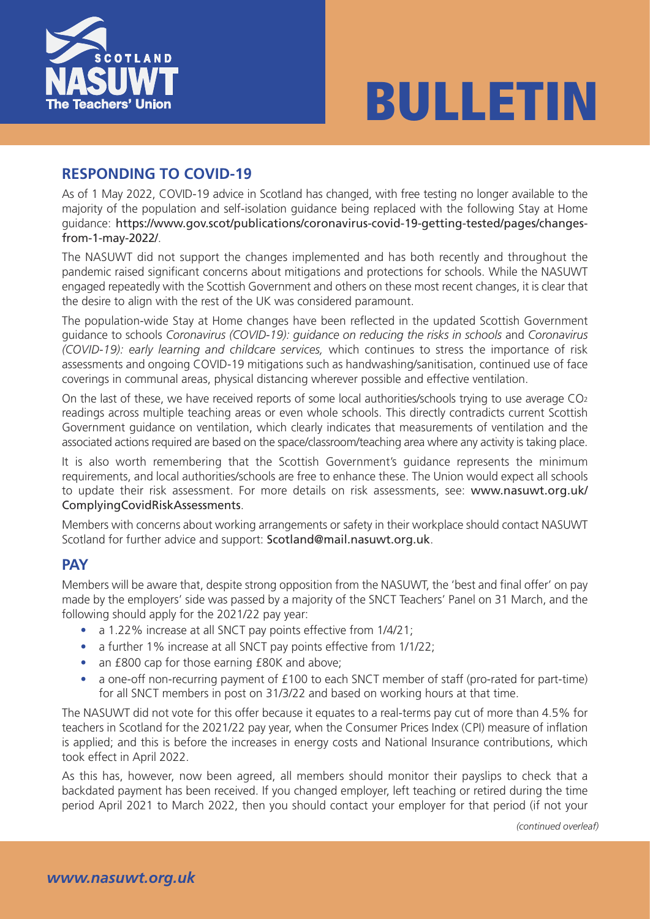



#### **RESPONDING TO COVID-19**

As of 1 May 2022, COVID-19 advice in Scotland has changed, with free testing no longer available to the majority of the population and self-isolation guidance being replaced with the following Stay at Home guidance: https://www.gov.scot/publications/coronavirus-covid-19-getting-tested/pages/changesfrom-1-may-2022/.

The NASUWT did not support the changes implemented and has both recently and throughout the pandemic [raised significant concerns about mitigations and protections for schools. While the NASUWT](https://www.nhsinform.scot/covid19) [engaged repeatedly](https://www.nhsinform.scot/covid19) with the Scottish Government and others on these most recent changes, it is clear that the desire to align with the rest of the UK was considered paramount.

The population-wide Stay at Home changes have been reflected in the updated Scottish Government guidance to schools *Coronavirus (COVID-19): guidance on reducing the risks in schools* and *Coronavirus (COVID-19): early learning and childcare services,* which continues to stress the importance of risk assessments and ongoing COVID-19 mitigations such as handwashing/sanitisation, continued use of face coverings in communal areas, physical distancing wherever possible and effective ventilation.

On the last of these, we have received reports of some local authorities/schools trying to use average CO<sub>2</sub> readings across multiple teaching areas or even whole schools. This directly contradicts current Scottish Government guidance on ventilation, which clearly indicates that measurements of ventilation and the associated actions required are based on the space/classroom/teaching area where any activity is taking place.

It is also worth remembering that the Scottish Government's guidance represents the minimum requirements, and local authorities/schools are free to enhance these. The Union would expect all schools to update their risk assessment. For more details on risk assessments, see: www.nasuwt.org.uk/ ComplyingCovidRiskAssessments.

Members with concerns about working arrangements or safety in their workplace should contact NASUWT Scotland for further advice and support: Scotland@mail.nasuwt.org.uk.

#### **[PAY](https://www.nasuwt.org.uk/advice/health-safety/coronavirus-guidance/full-reopening-of-schools/complying-with-covid-19-risk-assessments.html)**

Members will be aware that, despite strong opposition from the NASUWT, the 'best and final offer' on pay made by the employers' side was passed by a majority of the SNCT Teachers' Panel on 31 March, and the following should apply for the 2021/22 pay year:

- a 1.22% increase at all SNCT pay points effective from 1/4/21;
- a further 1% increase at all SNCT pay points effective from 1/1/22;
- an £800 cap for those earning £80K and above;
- a one-off non-recurring payment of £100 to each SNCT member of staff (pro-rated for part-time) for all SNCT members in post on 31/3/22 and based on working hours at that time.

The NASUWT did not vote for this offer because it equates to a real-terms pay cut of more than 4.5% for teachers in Scotland for the 2021/22 pay year, when the Consumer Prices Index (CPI) measure of inflation is applied; and this is before the increases in energy costs and National Insurance contributions, which took effect in April 2022.

As this has, however, now been agreed, all members should monitor their payslips to check that a backdated payment has been received. If you changed employer, left teaching or retired during the time period April 2021 to March 2022, then you should contact your employer for that period (if not your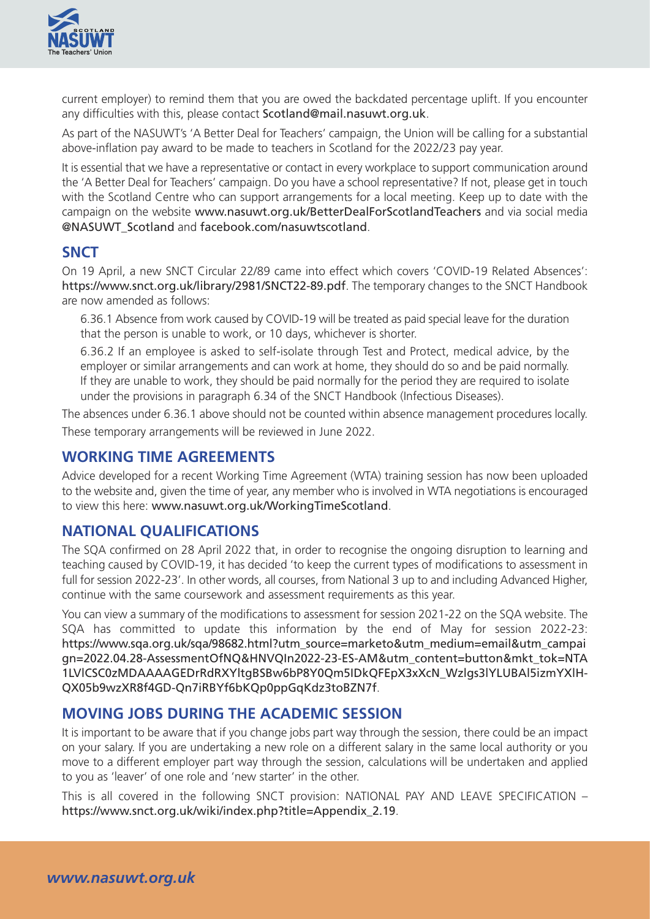current employer) to remind them that you are owed the backdated percentage uplift. If you encounter any difficulties with this, please contact Scotland@mail.nasuwt.org.uk.

As part of the NASUWT's 'A Better Deal for Teachers' campaign, the Union will be calling for a substantial above-inflation pay award to be made to teachers in Scotland for the 2022/23 pay year.

It is essential that we have a representative or contact in every workplace to support communication around the 'A Better Deal for Teachers' campaign. Do you have a school representative? If not, please get in touch with the Scotland Centre who can support arrangements for a local meeting. Keep up to date with the campaign on the website www.nasuwt.org.uk/BetterDealForScotlandTeachers and via social media @NASUWT\_Scotland and facebook.com/nasuwtscotland.

# **SNCT**

On 19 April, a new SNC[T Circular 22/89 came into effect which covers 'COVID-19](https://www.nasuwt.org.uk/news/campaigns/better-deal-for-scotlands-teachers.html) Related Absences': [https://www.snct.org.](https://twitter.com/NASUWT_Scotland?ref_src=twsrc%5Egoogle%7Ctwcamp%5Eserp%7Ctwgr%5Eauthor)uk/l[ibrary/2981/SNCT22-89.pdf](https://www.facebook.com/NASUWTScotland/). The temporary changes to the SNCT Handbook are now amended as follows:

6.36.1 Absence from work caused by COVID-19 will be treated as paid special leave for the duration that the person is unable to work, or 10 days, whichever is shorter.

[6.36.2 If an employee is asked to self-isolate throug](https://www.snct.org.uk/library/2981/SNCT22-89.pdf)h Test and Protect, medical advice, by the employer or similar arrangements and can work at home, they should do so and be paid normally. If they are unable to work, they should be paid normally for the period they are required to isolate under the provisions in paragraph 6.34 of the SNCT Handbook (Infectious Diseases).

The absences under 6.36.1 above should not be counted within absence management procedures locally. These temporary arrangements will be reviewed in June 2022.

## **WORKING TIME AGREEMENTS**

Advice developed for a recent Working Time Agreement (WTA) training session has now been uploaded to the website and, given the time of year, any member who is involved in WTA negotiations is encouraged to view this here: www.nasuwt.org.uk/WorkingTimeScotland.

## **NATIONAL QUALIFICATIONS**

The SQA confirmed on 28 April 2022 that, in order to recognise the ongoing disruption to learning and teaching caused [by COVID-19, it has decided 'to keep the current](https://www.nasuwt.org.uk/advice/conditions-of-service/teachers-working-hours/working-time-agreement-scotland.html) types of modifications to assessment in full for session 2022-23'. In other words, all courses, from National 3 up to and including Advanced Higher, continue with the same coursework and assessment requirements as this year.

You can view a summary of the modifications to assessment for session 2021-22 on the SQA website. The SQA has committed to update this information by the end of May for session 2022-23: https://www.sqa.org.uk/sqa/98682.html?utm\_source=marketo&utm\_medium=email&utm\_campai gn=2022.04.28-AssessmentOfNQ&HNVQIn2022-23-ES-AM&utm\_content=button&mkt\_tok=NTA 1LVlCSC0zMDAAAAGEDrRdRXYltgBSBw6bP8Y0Qm5IDkQFEpX3xXcN\_Wzlgs3lYLUBAl5izmYXlH-[QX05b9wzXR8f4GD-Qn7iRBYf6bKQp0ppGqKdz3toBZN7f](https://www.sqa.org.uk/sqa/98682.html?utm_source=marketo&utm_medium=email&utm_campaign=2022.04.28-AssessmentOfNQ&HNVQIn2022-23-ES-AM&utm_content=button&mkt_tok=NTA%201LVlCSC0zMDAAAAGEDrRdRXYltgBSBw6bP8Y0Qm5IDkQFEpX3xXcN_Wzlgs3lYLUBAl5izmYXlH-QX05b9wzXR8f4GD-Qn7iRBYf6bKQp0ppGqKdz3toBZN7f).

## **[MOVING JOBS DURING THE ACADEMIC SESSION](https://www.sqa.org.uk/sqa/98682.html?utm_source=marketo&utm_medium=email&utm_campaign=2022.04.28-AssessmentOfNQ&HNVQIn2022-23-ES-AM&utm_content=button&mkt_tok=NTA%201LVlCSC0zMDAAAAGEDrRdRXYltgBSBw6bP8Y0Qm5IDkQFEpX3xXcN_Wzlgs3lYLUBAl5izmYXlH-QX05b9wzXR8f4GD-Qn7iRBYf6bKQp0ppGqKdz3toBZN7f)**

[It is important to be aware that if you change jobs part way through the session, there could be an impact](https://www.sqa.org.uk/sqa/98682.html?utm_source=marketo&utm_medium=email&utm_campaign=2022.04.28-AssessmentOfNQ&HNVQIn2022-23-ES-AM&utm_content=button&mkt_tok=NTA%201LVlCSC0zMDAAAAGEDrRdRXYltgBSBw6bP8Y0Qm5IDkQFEpX3xXcN_Wzlgs3lYLUBAl5izmYXlH-QX05b9wzXR8f4GD-Qn7iRBYf6bKQp0ppGqKdz3toBZN7f) [on your salary. If you are undertaking a new role on a different](https://www.sqa.org.uk/sqa/98682.html?utm_source=marketo&utm_medium=email&utm_campaign=2022.04.28-AssessmentOfNQ&HNVQIn2022-23-ES-AM&utm_content=button&mkt_tok=NTA%201LVlCSC0zMDAAAAGEDrRdRXYltgBSBw6bP8Y0Qm5IDkQFEpX3xXcN_Wzlgs3lYLUBAl5izmYXlH-QX05b9wzXR8f4GD-Qn7iRBYf6bKQp0ppGqKdz3toBZN7f) salary in the same local authority or you move to a different employer part way through the session, calculations will be undertaken and applied to you as 'leaver' of one role and 'new starter' in the other.

This is all covered in the following SNCT provision: NATIONAL PAY AND LEAVE SPECIFICATION – https://www.snct.org.uk/wiki/index.php?title=Appendix\_2.19.